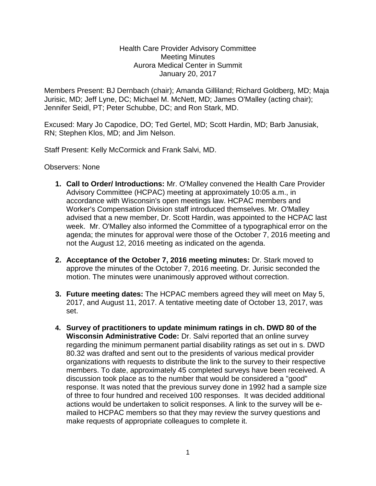## Health Care Provider Advisory Committee Meeting Minutes Aurora Medical Center in Summit January 20, 2017

Members Present: BJ Dernbach (chair); Amanda Gilliland; Richard Goldberg, MD; Maja Jurisic, MD; Jeff Lyne, DC; Michael M. McNett, MD; James O'Malley (acting chair); Jennifer Seidl, PT; Peter Schubbe, DC; and Ron Stark, MD.

Excused: Mary Jo Capodice, DO; Ted Gertel, MD; Scott Hardin, MD; Barb Janusiak, RN; Stephen Klos, MD; and Jim Nelson.

Staff Present: Kelly McCormick and Frank Salvi, MD.

Observers: None

- **1. Call to Order/ Introductions:** Mr. O'Malley convened the Health Care Provider Advisory Committee (HCPAC) meeting at approximately 10:05 a.m., in accordance with Wisconsin's open meetings law. HCPAC members and Worker's Compensation Division staff introduced themselves. Mr. O'Malley advised that a new member, Dr. Scott Hardin, was appointed to the HCPAC last week. Mr. O'Malley also informed the Committee of a typographical error on the agenda; the minutes for approval were those of the October 7, 2016 meeting and not the August 12, 2016 meeting as indicated on the agenda.
- **2. Acceptance of the October 7, 2016 meeting minutes:** Dr. Stark moved to approve the minutes of the October 7, 2016 meeting. Dr. Jurisic seconded the motion. The minutes were unanimously approved without correction.
- **3. Future meeting dates:** The HCPAC members agreed they will meet on May 5, 2017, and August 11, 2017. A tentative meeting date of October 13, 2017, was set.
- **4. Survey of practitioners to update minimum ratings in ch. DWD 80 of the Wisconsin Administrative Code:** Dr. Salvi reported that an online survey regarding the minimum permanent partial disability ratings as set out in s. DWD 80.32 was drafted and sent out to the presidents of various medical provider organizations with requests to distribute the link to the survey to their respective members. To date, approximately 45 completed surveys have been received. A discussion took place as to the number that would be considered a "good" response. It was noted that the previous survey done in 1992 had a sample size of three to four hundred and received 100 responses. It was decided additional actions would be undertaken to solicit responses. A link to the survey will be emailed to HCPAC members so that they may review the survey questions and make requests of appropriate colleagues to complete it.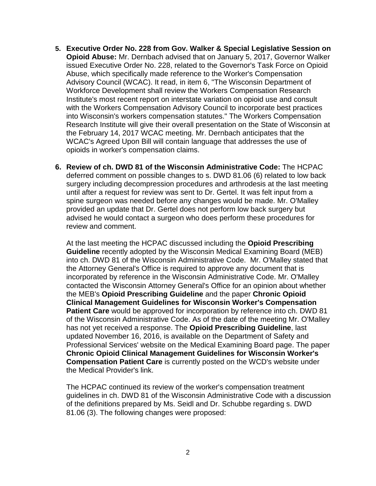- **5. Executive Order No. 228 from Gov. Walker & Special Legislative Session on Opioid Abuse:** Mr. Dernbach advised that on January 5, 2017, Governor Walker issued Executive Order No. 228, related to the Governor's Task Force on Opioid Abuse, which specifically made reference to the Worker's Compensation Advisory Council (WCAC). It read, in item 6, "The Wisconsin Department of Workforce Development shall review the Workers Compensation Research Institute's most recent report on interstate variation on opioid use and consult with the Workers Compensation Advisory Council to incorporate best practices into Wisconsin's workers compensation statutes." The Workers Compensation Research Institute will give their overall presentation on the State of Wisconsin at the February 14, 2017 WCAC meeting. Mr. Dernbach anticipates that the WCAC's Agreed Upon Bill will contain language that addresses the use of opioids in worker's compensation claims.
- **6. Review of ch. DWD 81 of the Wisconsin Administrative Code:** The HCPAC deferred comment on possible changes to s. DWD 81.06 (6) related to low back surgery including decompression procedures and arthrodesis at the last meeting until after a request for review was sent to Dr. Gertel. It was felt input from a spine surgeon was needed before any changes would be made. Mr. O'Malley provided an update that Dr. Gertel does not perform low back surgery but advised he would contact a surgeon who does perform these procedures for review and comment.

At the last meeting the HCPAC discussed including the **Opioid Prescribing Guideline** recently adopted by the Wisconsin Medical Examining Board (MEB) into ch. DWD 81 of the Wisconsin Administrative Code. Mr. O'Malley stated that the Attorney General's Office is required to approve any document that is incorporated by reference in the Wisconsin Administrative Code. Mr. O'Malley contacted the Wisconsin Attorney General's Office for an opinion about whether the MEB's **Opioid Prescribing Guideline** and the paper **Chronic Opioid Clinical Management Guidelines for Wisconsin Worker's Compensation Patient Care** would be approved for incorporation by reference into ch. DWD 81 of the Wisconsin Administrative Code. As of the date of the meeting Mr. O'Malley has not yet received a response. The **Opioid Prescribing Guideline**, last updated November 16, 2016, is available on the Department of Safety and Professional Services' website on the Medical Examining Board page. The paper **Chronic Opioid Clinical Management Guidelines for Wisconsin Worker's Compensation Patient Care** is currently posted on the WCD's website under the Medical Provider's link.

The HCPAC continued its review of the worker's compensation treatment guidelines in ch. DWD 81 of the Wisconsin Administrative Code with a discussion of the definitions prepared by Ms. Seidl and Dr. Schubbe regarding s. DWD 81.06 (3). The following changes were proposed: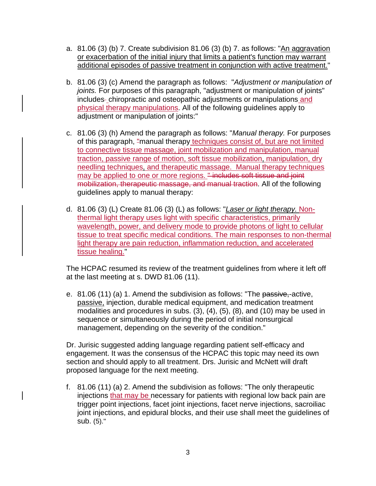- a.  $81.06$  (3) (b) 7. Create subdivision  $81.06$  (3) (b) 7. as follows: "An aggravation or exacerbation of the initial injury that limits a patient's function may warrant additional episodes of passive treatment in conjunction with active treatment."
- b. 81.06 (3) (c) Amend the paragraph as follows: "*Adjustment or manipulation of joints.* For purposes of this paragraph, "adjustment or manipulation of joints" includes-chiropractic and osteopathic adjustments or manipulations and physical therapy manipulations. All of the following guidelines apply to adjustment or manipulation of joints:"
- c. 81.06 (3) (h) Amend the paragraph as follows: "*Manual therapy.* For purposes of this paragraph, "manual therapy techniques consist of, but are not limited to connective tissue massage, joint mobilization and manipulation, manual traction, passive range of motion, soft tissue mobilization, manipulation, dry needling techniques, and therapeutic massage. Manual therapy techniques may be applied to one or more regions. " includes soft tissue and joint mobilization, therapeutic massage, and manual traction. All of the following guidelines apply to manual therapy:
- d. 81.06 (3) (L) Create 81.06 (3) (L) as follows: "*Laser or light therapy.* Nonthermal light therapy uses light with specific characteristics, primarily wavelength, power, and delivery mode to provide photons of light to cellular tissue to treat specific medical conditions. The main responses to non-thermal light therapy are pain reduction, inflammation reduction, and accelerated tissue healing."

The HCPAC resumed its review of the treatment guidelines from where it left off at the last meeting at s. DWD 81.06 (11).

e. 81.06 (11) (a) 1. Amend the subdivision as follows: "The passive,-active, passive, injection, durable medical equipment, and medication treatment  $\overline{\text{modalities}}$  and procedures in subs. [\(3\),](http://docs.legis.wisconsin.gov/document/administrativecode/DWD%2081.06%283%29) [\(4\),](http://docs.legis.wisconsin.gov/document/administrativecode/DWD%2081.06%284%29) [\(5\),](http://docs.legis.wisconsin.gov/document/administrativecode/DWD%2081.06%285%29) [\(8\),](http://docs.legis.wisconsin.gov/document/administrativecode/DWD%2081.06%288%29) and [\(10\)](http://docs.legis.wisconsin.gov/document/administrativecode/DWD%2081.06%2810%29) may be used in sequence or simultaneously during the period of initial nonsurgical management, depending on the severity of the condition."

Dr. Jurisic suggested adding language regarding patient self-efficacy and engagement. It was the consensus of the HCPAC this topic may need its own section and should apply to all treatment. Drs. Jurisic and McNett will draft proposed language for the next meeting.

f. 81.06 (11) (a) 2. Amend the subdivision as follows: "The only therapeutic injections that may be necessary for patients with regional low back pain are trigger point injections, facet joint injections, facet nerve injections, sacroiliac joint injections, and epidural blocks, and their use shall meet the guidelines of sub. (5)."